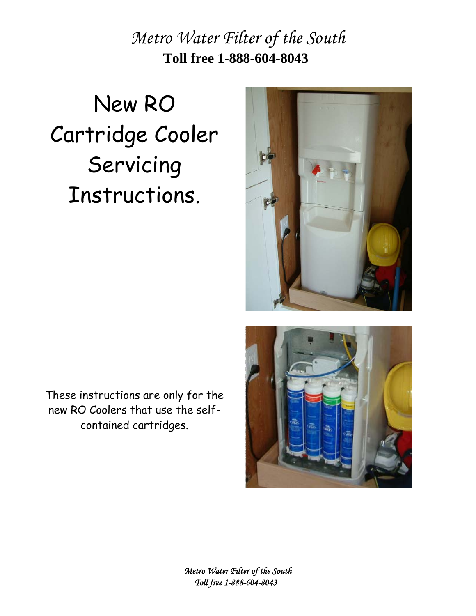*Metro Water Filter of the South*  **Toll free 1-888-604-8043**

# New RO Cartridge Cooler Servicing Instructions.



These instructions are only for the new RO Coolers that use the selfcontained cartridges.

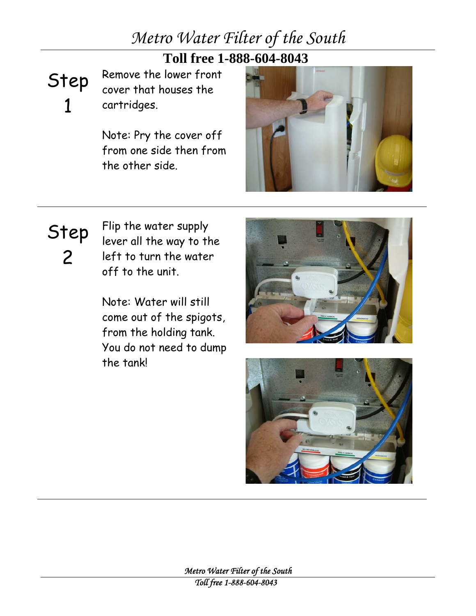#### **Toll free 1-888-604-8043**

## Step 1

Remove the lower front cover that houses the cartridges.

Note: Pry the cover off from one side then from the other side.

![](_page_1_Picture_5.jpeg)

![](_page_1_Picture_6.jpeg)

Flip the water supply lever all the way to the left to turn the water off to the unit.

Note: Water will still come out of the spigots, from the holding tank. You do not need to dump the tank!

![](_page_1_Picture_9.jpeg)

![](_page_1_Picture_10.jpeg)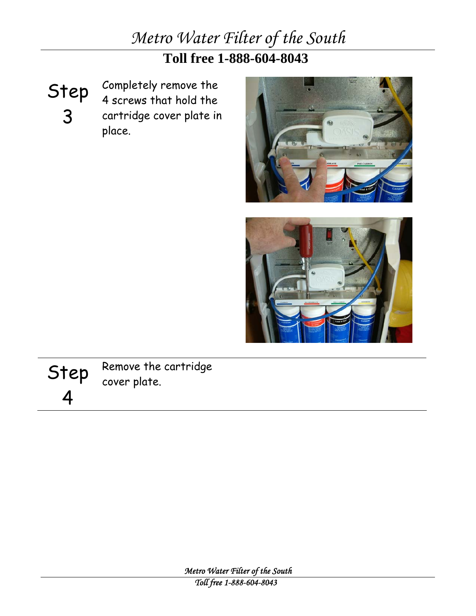**Toll free 1-888-604-8043**

Step 3

Completely remove the 4 screws that hold the cartridge cover plate in place.

![](_page_2_Picture_4.jpeg)

![](_page_2_Picture_5.jpeg)

![](_page_2_Picture_6.jpeg)

Remove the cartridge cover plate.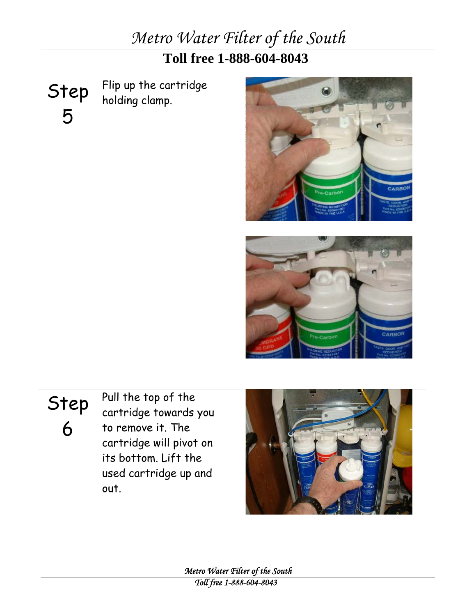### **Toll free 1-888-604-8043**

Step 5 Flip up the cartridge holding clamp.

![](_page_3_Picture_3.jpeg)

![](_page_3_Picture_4.jpeg)

## Step

6

Pull the top of the cartridge towards you to remove it. The cartridge will pivot on its bottom. Lift the used cartridge up and out.

![](_page_3_Picture_7.jpeg)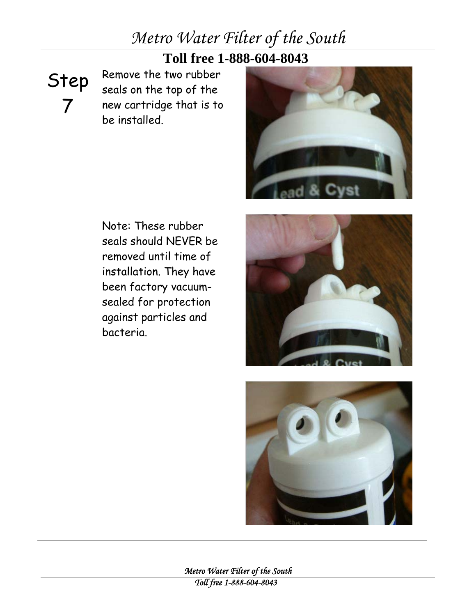#### **Toll free 1-888-604-8043**

Step 7

Remove the two rubber seals on the top of the new cartridge that is to be installed.

![](_page_4_Picture_4.jpeg)

Note: These rubber seals should NEVER be removed until time of installation. They have been factory vacuumsealed for protection against particles and bacteria.

![](_page_4_Picture_6.jpeg)

![](_page_4_Picture_7.jpeg)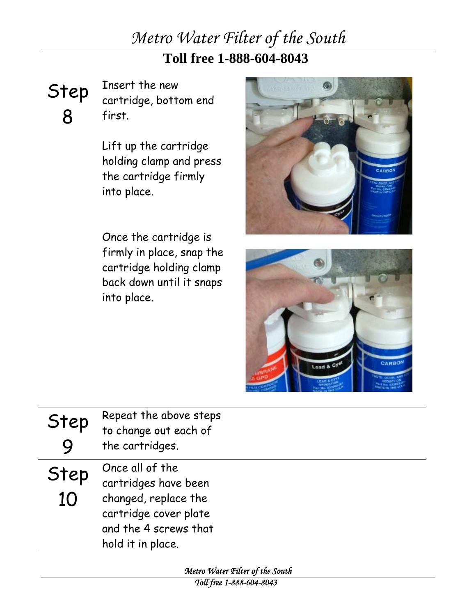### **Toll free 1-888-604-8043**

Step 8

Insert the new cartridge, bottom end first.

Lift up the cartridge holding clamp and press the cartridge firmly into place.

Once the cartridge is firmly in place, snap the cartridge holding clamp back down until it snaps into place.

![](_page_5_Picture_6.jpeg)

![](_page_5_Picture_7.jpeg)

| Step       | Repeat the above steps<br>to change out each of<br>the cartridges.                                                                     |
|------------|----------------------------------------------------------------------------------------------------------------------------------------|
| Step<br>10 | Once all of the<br>cartridges have been<br>changed, replace the<br>cartridge cover plate<br>and the 4 screws that<br>hold it in place. |

*Metro Water Filter of the South Toll free 1-888-604-8043*